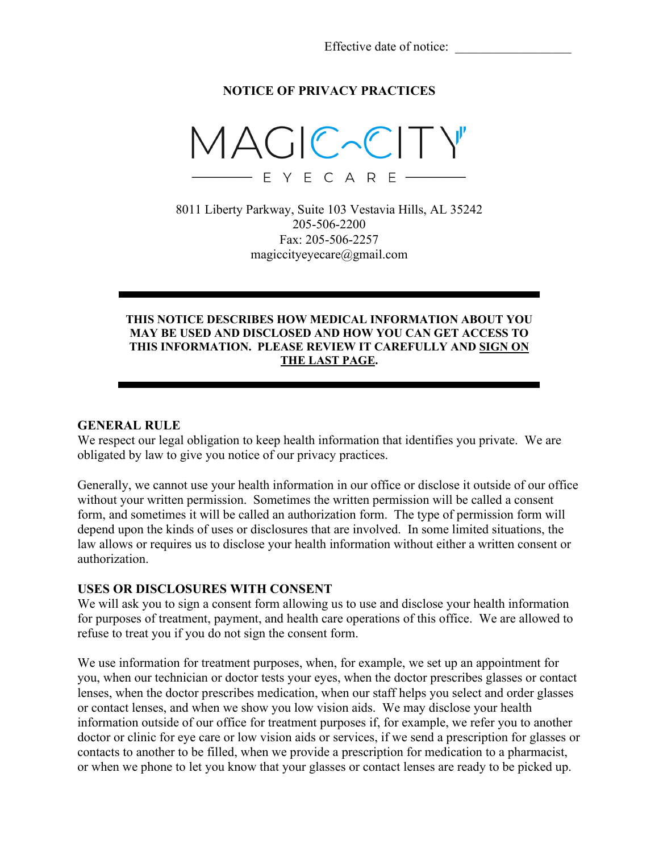Effective date of notice:

# **NOTICE OF PRIVACY PRACTICES**



8011 Liberty Parkway, Suite 103 Vestavia Hills, AL 35242 205-506-2200 Fax: 205-506-2257 magiccityeyecare@gmail.com

#### **THIS NOTICE DESCRIBES HOW MEDICAL INFORMATION ABOUT YOU MAY BE USED AND DISCLOSED AND HOW YOU CAN GET ACCESS TO THIS INFORMATION. PLEASE REVIEW IT CAREFULLY AND SIGN ON THE LAST PAGE.**

### **GENERAL RULE**

We respect our legal obligation to keep health information that identifies you private. We are obligated by law to give you notice of our privacy practices.

Generally, we cannot use your health information in our office or disclose it outside of our office without your written permission. Sometimes the written permission will be called a consent form, and sometimes it will be called an authorization form. The type of permission form will depend upon the kinds of uses or disclosures that are involved. In some limited situations, the law allows or requires us to disclose your health information without either a written consent or authorization.

#### **USES OR DISCLOSURES WITH CONSENT**

We will ask you to sign a consent form allowing us to use and disclose your health information for purposes of treatment, payment, and health care operations of this office. We are allowed to refuse to treat you if you do not sign the consent form.

We use information for treatment purposes, when, for example, we set up an appointment for you, when our technician or doctor tests your eyes, when the doctor prescribes glasses or contact lenses, when the doctor prescribes medication, when our staff helps you select and order glasses or contact lenses, and when we show you low vision aids. We may disclose your health information outside of our office for treatment purposes if, for example, we refer you to another doctor or clinic for eye care or low vision aids or services, if we send a prescription for glasses or contacts to another to be filled, when we provide a prescription for medication to a pharmacist, or when we phone to let you know that your glasses or contact lenses are ready to be picked up.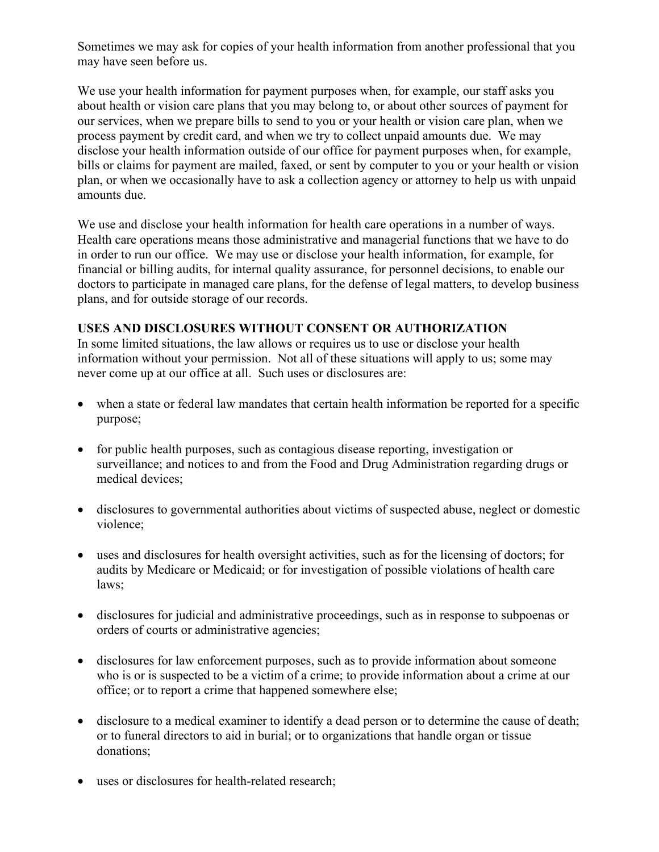Sometimes we may ask for copies of your health information from another professional that you may have seen before us.

We use your health information for payment purposes when, for example, our staff asks you about health or vision care plans that you may belong to, or about other sources of payment for our services, when we prepare bills to send to you or your health or vision care plan, when we process payment by credit card, and when we try to collect unpaid amounts due. We may disclose your health information outside of our office for payment purposes when, for example, bills or claims for payment are mailed, faxed, or sent by computer to you or your health or vision plan, or when we occasionally have to ask a collection agency or attorney to help us with unpaid amounts due.

We use and disclose your health information for health care operations in a number of ways. Health care operations means those administrative and managerial functions that we have to do in order to run our office. We may use or disclose your health information, for example, for financial or billing audits, for internal quality assurance, for personnel decisions, to enable our doctors to participate in managed care plans, for the defense of legal matters, to develop business plans, and for outside storage of our records.

# **USES AND DISCLOSURES WITHOUT CONSENT OR AUTHORIZATION**

In some limited situations, the law allows or requires us to use or disclose your health information without your permission. Not all of these situations will apply to us; some may never come up at our office at all. Such uses or disclosures are:

- when a state or federal law mandates that certain health information be reported for a specific purpose;
- for public health purposes, such as contagious disease reporting, investigation or surveillance; and notices to and from the Food and Drug Administration regarding drugs or medical devices;
- disclosures to governmental authorities about victims of suspected abuse, neglect or domestic violence;
- uses and disclosures for health oversight activities, such as for the licensing of doctors; for audits by Medicare or Medicaid; or for investigation of possible violations of health care laws;
- disclosures for judicial and administrative proceedings, such as in response to subpoenas or orders of courts or administrative agencies;
- disclosures for law enforcement purposes, such as to provide information about someone who is or is suspected to be a victim of a crime; to provide information about a crime at our office; or to report a crime that happened somewhere else;
- disclosure to a medical examiner to identify a dead person or to determine the cause of death; or to funeral directors to aid in burial; or to organizations that handle organ or tissue donations;
- uses or disclosures for health-related research;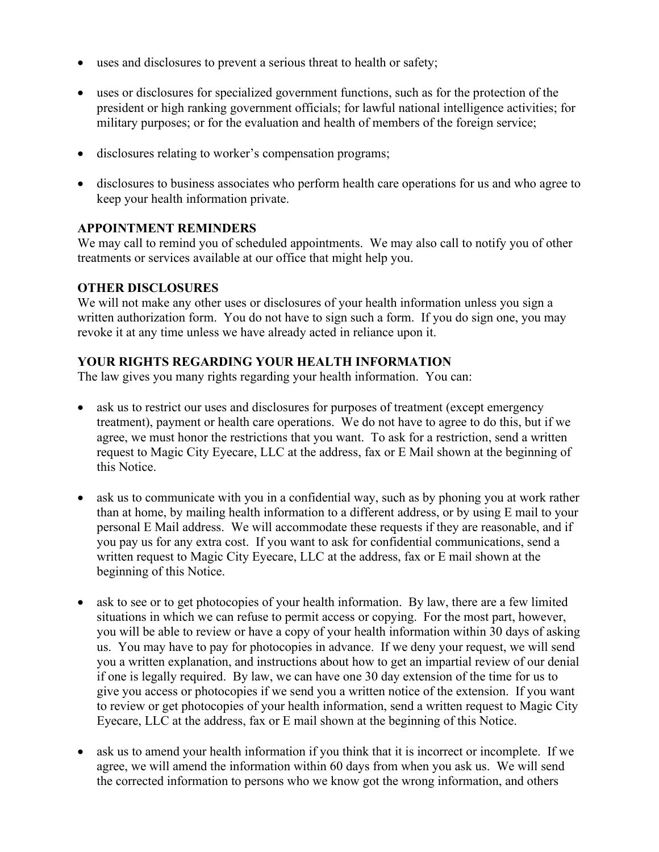- uses and disclosures to prevent a serious threat to health or safety;
- uses or disclosures for specialized government functions, such as for the protection of the president or high ranking government officials; for lawful national intelligence activities; for military purposes; or for the evaluation and health of members of the foreign service;
- disclosures relating to worker's compensation programs;
- disclosures to business associates who perform health care operations for us and who agree to keep your health information private.

# **APPOINTMENT REMINDERS**

We may call to remind you of scheduled appointments. We may also call to notify you of other treatments or services available at our office that might help you.

## **OTHER DISCLOSURES**

We will not make any other uses or disclosures of your health information unless you sign a written authorization form. You do not have to sign such a form. If you do sign one, you may revoke it at any time unless we have already acted in reliance upon it.

## **YOUR RIGHTS REGARDING YOUR HEALTH INFORMATION**

The law gives you many rights regarding your health information. You can:

- ask us to restrict our uses and disclosures for purposes of treatment (except emergency treatment), payment or health care operations. We do not have to agree to do this, but if we agree, we must honor the restrictions that you want. To ask for a restriction, send a written request to Magic City Eyecare, LLC at the address, fax or E Mail shown at the beginning of this Notice.
- ask us to communicate with you in a confidential way, such as by phoning you at work rather than at home, by mailing health information to a different address, or by using E mail to your personal E Mail address. We will accommodate these requests if they are reasonable, and if you pay us for any extra cost. If you want to ask for confidential communications, send a written request to Magic City Eyecare, LLC at the address, fax or E mail shown at the beginning of this Notice.
- ask to see or to get photocopies of your health information. By law, there are a few limited situations in which we can refuse to permit access or copying. For the most part, however, you will be able to review or have a copy of your health information within 30 days of asking us. You may have to pay for photocopies in advance. If we deny your request, we will send you a written explanation, and instructions about how to get an impartial review of our denial if one is legally required. By law, we can have one 30 day extension of the time for us to give you access or photocopies if we send you a written notice of the extension. If you want to review or get photocopies of your health information, send a written request to Magic City Eyecare, LLC at the address, fax or E mail shown at the beginning of this Notice.
- ask us to amend your health information if you think that it is incorrect or incomplete. If we agree, we will amend the information within 60 days from when you ask us. We will send the corrected information to persons who we know got the wrong information, and others